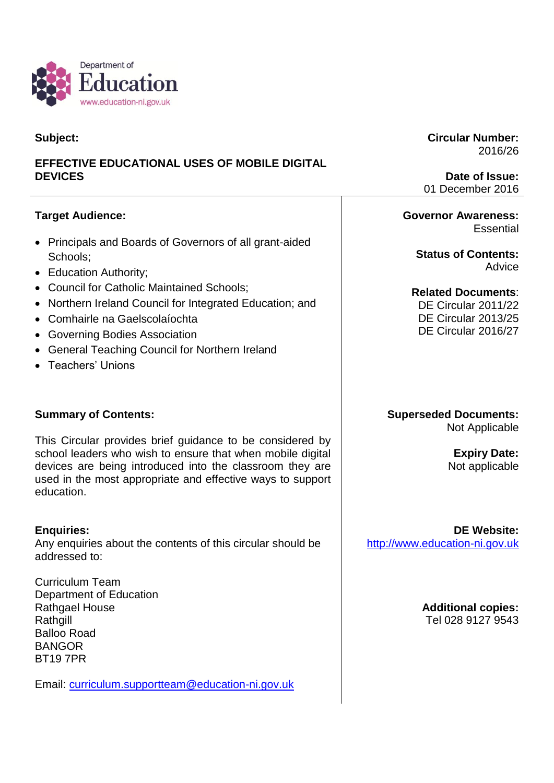

## **Subject:**

# **EFFECTIVE EDUCATIONAL USES OF MOBILE DIGITAL DEVICES**

# **Target Audience:**

- Principals and Boards of Governors of all grant-aided Schools;
- Education Authority;
- Council for Catholic Maintained Schools;
- Northern Ireland Council for Integrated Education; and
- Comhairle na Gaelscolaíochta
- Governing Bodies Association
- General Teaching Council for Northern Ireland
- Teachers' Unions

## **Summary of Contents:**

This Circular provides brief guidance to be considered by school leaders who wish to ensure that when mobile digital devices are being introduced into the classroom they are used in the most appropriate and effective ways to support education.

#### **Enquiries:**

Any enquiries about the contents of this circular should be addressed to:

Curriculum Team Department of Education Rathgael House **Rathgill** Balloo Road BANGOR BT19 7PR

Email: [curriculum.supportteam@education-ni.gov.uk](mailto:curriculum.supportteam@education-ni.gov.uk)

#### **Circular Number:** 2016/26

**Date of Issue:** 01 December 2016

#### **Governor Awareness: Essential**

**Status of Contents:** Advice

**Related Documents**:

DE Circular 2011/22 DE Circular 2013/25 DE Circular 2016/27

#### **Superseded Documents:** Not Applicable

**Expiry Date:** Not applicable

**DE Website:** [http://www.education-ni.gov.uk](http://www.education-ni.gov.uk/)

> **Additional copies:** Tel 028 9127 9543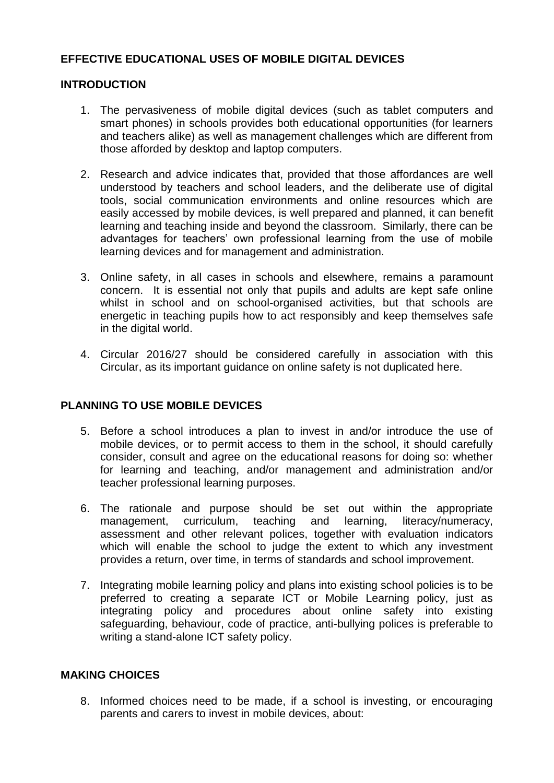## **EFFECTIVE EDUCATIONAL USES OF MOBILE DIGITAL DEVICES**

### **INTRODUCTION**

- 1. The pervasiveness of mobile digital devices (such as tablet computers and smart phones) in schools provides both educational opportunities (for learners and teachers alike) as well as management challenges which are different from those afforded by desktop and laptop computers.
- 2. Research and advice indicates that, provided that those affordances are well understood by teachers and school leaders, and the deliberate use of digital tools, social communication environments and online resources which are easily accessed by mobile devices, is well prepared and planned, it can benefit learning and teaching inside and beyond the classroom. Similarly, there can be advantages for teachers' own professional learning from the use of mobile learning devices and for management and administration.
- 3. Online safety, in all cases in schools and elsewhere, remains a paramount concern. It is essential not only that pupils and adults are kept safe online whilst in school and on school-organised activities, but that schools are energetic in teaching pupils how to act responsibly and keep themselves safe in the digital world.
- 4. Circular 2016/27 should be considered carefully in association with this Circular, as its important guidance on online safety is not duplicated here.

## **PLANNING TO USE MOBILE DEVICES**

- 5. Before a school introduces a plan to invest in and/or introduce the use of mobile devices, or to permit access to them in the school, it should carefully consider, consult and agree on the educational reasons for doing so: whether for learning and teaching, and/or management and administration and/or teacher professional learning purposes.
- 6. The rationale and purpose should be set out within the appropriate management, curriculum, teaching and learning, literacy/numeracy, assessment and other relevant polices, together with evaluation indicators which will enable the school to judge the extent to which any investment provides a return, over time, in terms of standards and school improvement.
- 7. Integrating mobile learning policy and plans into existing school policies is to be preferred to creating a separate ICT or Mobile Learning policy, just as integrating policy and procedures about online safety into existing safeguarding, behaviour, code of practice, anti-bullying polices is preferable to writing a stand-alone ICT safety policy.

#### **MAKING CHOICES**

8. Informed choices need to be made, if a school is investing, or encouraging parents and carers to invest in mobile devices, about: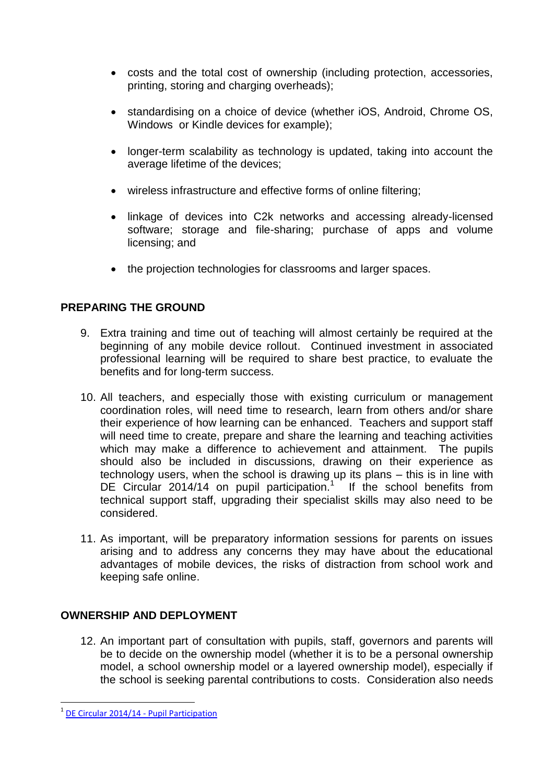- costs and the total cost of ownership (including protection, accessories, printing, storing and charging overheads);
- standardising on a choice of device (whether iOS, Android, Chrome OS, Windows or Kindle devices for example);
- longer-term scalability as technology is updated, taking into account the average lifetime of the devices;
- wireless infrastructure and effective forms of online filtering;
- linkage of devices into C2k networks and accessing already-licensed software; storage and file-sharing; purchase of apps and volume licensing; and
- the projection technologies for classrooms and larger spaces.

# **PREPARING THE GROUND**

- 9. Extra training and time out of teaching will almost certainly be required at the beginning of any mobile device rollout. Continued investment in associated professional learning will be required to share best practice, to evaluate the benefits and for long-term success.
- 10. All teachers, and especially those with existing curriculum or management coordination roles, will need time to research, learn from others and/or share their experience of how learning can be enhanced. Teachers and support staff will need time to create, prepare and share the learning and teaching activities which may make a difference to achievement and attainment. The pupils should also be included in discussions, drawing on their experience as technology users, when the school is drawing up its plans – this is in line with DE Circular 2014/14 on pupil participation.<sup>1</sup> If the school benefits from technical support staff, upgrading their specialist skills may also need to be considered.
- 11. As important, will be preparatory information sessions for parents on issues arising and to address any concerns they may have about the educational advantages of mobile devices, the risks of distraction from school work and keeping safe online.

## **OWNERSHIP AND DEPLOYMENT**

12. An important part of consultation with pupils, staff, governors and parents will be to decide on the ownership model (whether it is to be a personal ownership model, a school ownership model or a layered ownership model), especially if the school is seeking parental contributions to costs. Consideration also needs

l

<sup>&</sup>lt;sup>1</sup> [DE Circular 2014/14 -](https://www.education-ni.gov.uk/sites/default/files/publications/de/2014-14-pupil-participation.pdf) Pupil Participation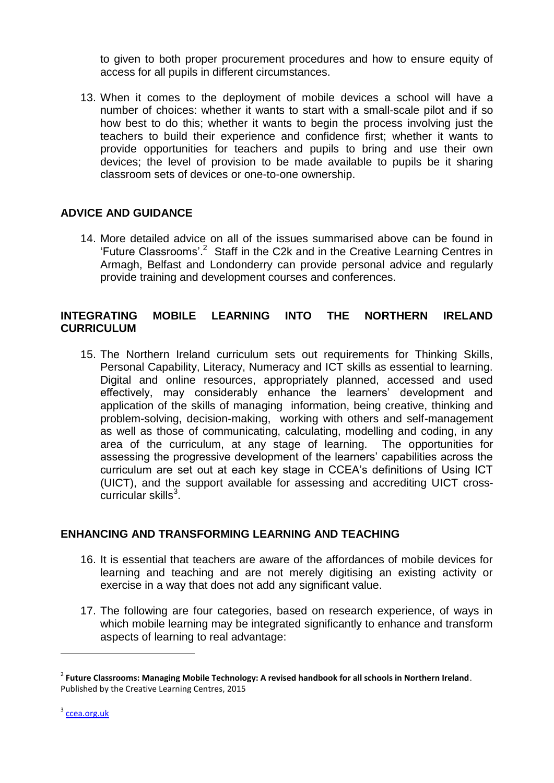to given to both proper procurement procedures and how to ensure equity of access for all pupils in different circumstances.

13. When it comes to the deployment of mobile devices a school will have a number of choices: whether it wants to start with a small-scale pilot and if so how best to do this; whether it wants to begin the process involving just the teachers to build their experience and confidence first; whether it wants to provide opportunities for teachers and pupils to bring and use their own devices; the level of provision to be made available to pupils be it sharing classroom sets of devices or one-to-one ownership.

## **ADVICE AND GUIDANCE**

14. More detailed advice on all of the issues summarised above can be found in 'Future Classrooms'.<sup>2</sup> Staff in the C2k and in the Creative Learning Centres in Armagh, Belfast and Londonderry can provide personal advice and regularly provide training and development courses and conferences.

#### **INTEGRATING MOBILE LEARNING INTO THE NORTHERN IRELAND CURRICULUM**

15. The Northern Ireland curriculum sets out requirements for Thinking Skills, Personal Capability, Literacy, Numeracy and ICT skills as essential to learning. Digital and online resources, appropriately planned, accessed and used effectively, may considerably enhance the learners' development and application of the skills of managing information, being creative, thinking and problem-solving, decision-making, working with others and self-management as well as those of communicating, calculating, modelling and coding, in any area of the curriculum, at any stage of learning. The opportunities for assessing the progressive development of the learners' capabilities across the curriculum are set out at each key stage in CCEA's definitions of Using ICT (UICT), and the support available for assessing and accrediting UICT cross- $\text{curricular skills}^3$ .

#### **ENHANCING AND TRANSFORMING LEARNING AND TEACHING**

- 16. It is essential that teachers are aware of the affordances of mobile devices for learning and teaching and are not merely digitising an existing activity or exercise in a way that does not add any significant value.
- 17. The following are four categories, based on research experience, of ways in which mobile learning may be integrated significantly to enhance and transform aspects of learning to real advantage:

l

<sup>2</sup> **Future Classrooms: Managing Mobile Technology: A revised handbook for all schools in Northern Ireland**. Published by the Creative Learning Centres, 2015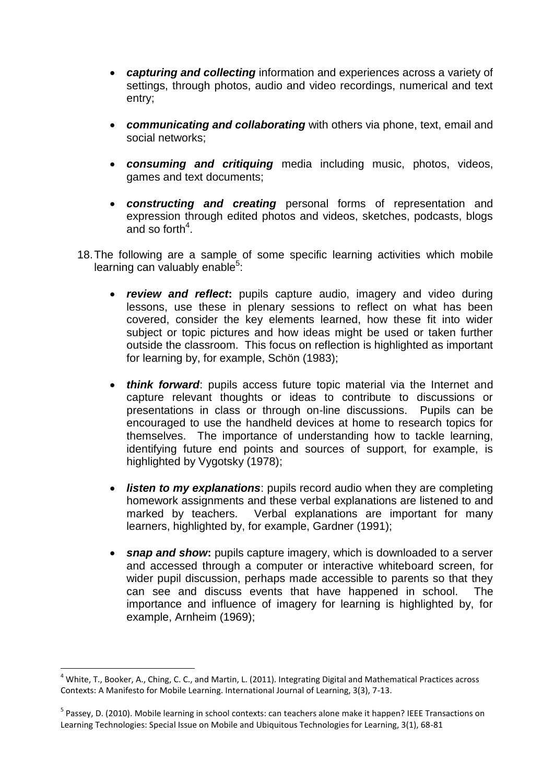- *capturing and collecting* information and experiences across a variety of settings, through photos, audio and video recordings, numerical and text entry;
- *communicating and collaborating* with others via phone, text, email and social networks;
- *consuming and critiquing* media including music, photos, videos, games and text documents;
- *constructing and creating* personal forms of representation and expression through edited photos and videos, sketches, podcasts, blogs and so forth<sup>4</sup>.
- 18.The following are a sample of some specific learning activities which mobile learning can valuably enable<sup>5</sup>:
	- *review and reflect***:** pupils capture audio, imagery and video during lessons, use these in plenary sessions to reflect on what has been covered, consider the key elements learned, how these fit into wider subject or topic pictures and how ideas might be used or taken further outside the classroom. This focus on reflection is highlighted as important for learning by, for example, Schön (1983);
	- *think forward*: pupils access future topic material via the Internet and capture relevant thoughts or ideas to contribute to discussions or presentations in class or through on-line discussions. Pupils can be encouraged to use the handheld devices at home to research topics for themselves. The importance of understanding how to tackle learning, identifying future end points and sources of support, for example, is highlighted by Vygotsky (1978);
	- *listen to my explanations*: pupils record audio when they are completing homework assignments and these verbal explanations are listened to and marked by teachers. Verbal explanations are important for many learners, highlighted by, for example, Gardner (1991);
	- *snap and show***:** pupils capture imagery, which is downloaded to a server and accessed through a computer or interactive whiteboard screen, for wider pupil discussion, perhaps made accessible to parents so that they can see and discuss events that have happened in school. The importance and influence of imagery for learning is highlighted by, for example, Arnheim (1969);

l

 $4$  White, T., Booker, A., Ching, C. C., and Martin, L. (2011). Integrating Digital and Mathematical Practices across Contexts: A Manifesto for Mobile Learning. International Journal of Learning, 3(3), 7-13.

<sup>&</sup>lt;sup>5</sup> Passey, D. (2010). Mobile learning in school contexts: can teachers alone make it happen? IEEE Transactions on Learning Technologies: Special Issue on Mobile and Ubiquitous Technologies for Learning, 3(1), 68-81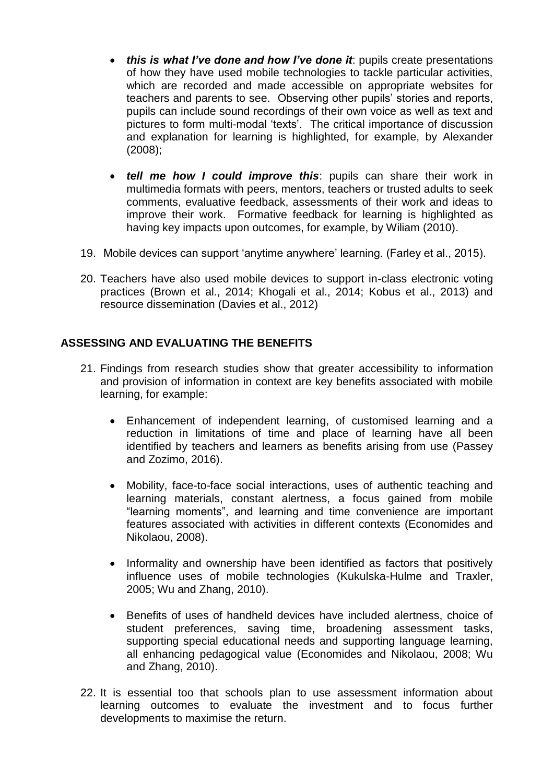- *this is what I've done and how I've done it*: pupils create presentations of how they have used mobile technologies to tackle particular activities, which are recorded and made accessible on appropriate websites for teachers and parents to see. Observing other pupils' stories and reports, pupils can include sound recordings of their own voice as well as text and pictures to form multi-modal 'texts'. The critical importance of discussion and explanation for learning is highlighted, for example, by Alexander (2008);
- *tell me how I could improve this*: pupils can share their work in multimedia formats with peers, mentors, teachers or trusted adults to seek comments, evaluative feedback, assessments of their work and ideas to improve their work. Formative feedback for learning is highlighted as having key impacts upon outcomes, for example, by Wiliam (2010).
- 19. Mobile devices can support 'anytime anywhere' learning. (Farley et al., 2015).
- 20. Teachers have also used mobile devices to support in-class electronic voting practices (Brown et al., 2014; Khogali et al., 2014; Kobus et al., 2013) and resource dissemination (Davies et al., 2012)

## **ASSESSING AND EVALUATING THE BENEFITS**

- 21. Findings from research studies show that greater accessibility to information and provision of information in context are key benefits associated with mobile learning, for example:
	- Enhancement of independent learning, of customised learning and a reduction in limitations of time and place of learning have all been identified by teachers and learners as benefits arising from use (Passey and Zozimo, 2016).
	- Mobility, face-to-face social interactions, uses of authentic teaching and learning materials, constant alertness, a focus gained from mobile "learning moments", and learning and time convenience are important features associated with activities in different contexts (Economides and Nikolaou, 2008).
	- Informality and ownership have been identified as factors that positively influence uses of mobile technologies (Kukulska-Hulme and Traxler, 2005; Wu and Zhang, 2010).
	- Benefits of uses of handheld devices have included alertness, choice of student preferences, saving time, broadening assessment tasks, supporting special educational needs and supporting language learning, all enhancing pedagogical value (Economides and Nikolaou, 2008; Wu and Zhang, 2010).
- 22. It is essential too that schools plan to use assessment information about learning outcomes to evaluate the investment and to focus further developments to maximise the return.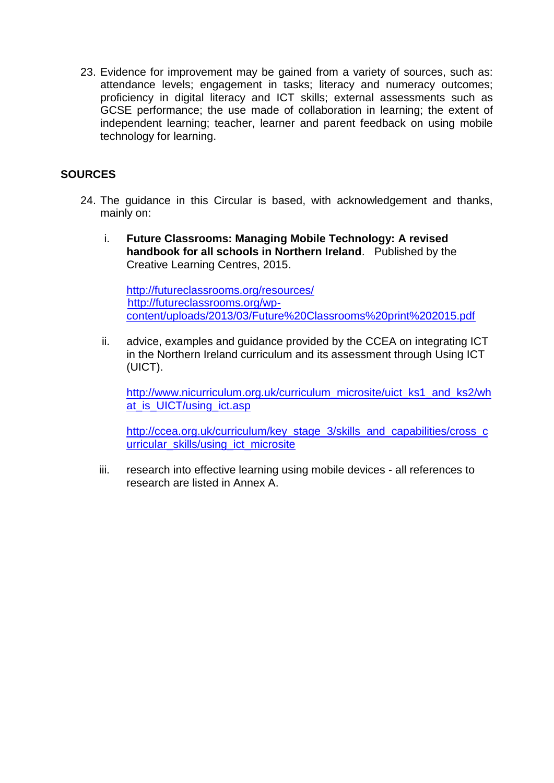23. Evidence for improvement may be gained from a variety of sources, such as: attendance levels; engagement in tasks; literacy and numeracy outcomes; proficiency in digital literacy and ICT skills; external assessments such as GCSE performance; the use made of collaboration in learning; the extent of independent learning; teacher, learner and parent feedback on using mobile technology for learning.

### **SOURCES**

- 24. The guidance in this Circular is based, with acknowledgement and thanks, mainly on:
	- i. **Future Classrooms: Managing Mobile Technology: A revised handbook for all schools in Northern Ireland**. Published by the Creative Learning Centres, 2015.

<http://futureclassrooms.org/resources/> [http://futureclassrooms.org/wp](http://futureclassrooms.org/wp-content/uploads/2013/03/Future%20Classrooms%20print%202015.pdf)[content/uploads/2013/03/Future%20Classrooms%20print%202015.pdf](http://futureclassrooms.org/wp-content/uploads/2013/03/Future%20Classrooms%20print%202015.pdf)

ii. advice, examples and guidance provided by the CCEA on integrating ICT in the Northern Ireland curriculum and its assessment through Using ICT (UICT).

[http://www.nicurriculum.org.uk/curriculum\\_microsite/uict\\_ks1\\_and\\_ks2/wh](http://www.nicurriculum.org.uk/curriculum_microsite/uict_ks1_and_ks2/what_is_UICT/using_ict.asp) at is UICT/using ict.asp

[http://ccea.org.uk/curriculum/key\\_stage\\_3/skills\\_and\\_capabilities/cross\\_c](http://ccea.org.uk/curriculum/key_stage_3/skills_and_capabilities/cross_curricular_skills/using_ict_microsite) [urricular\\_skills/using\\_ict\\_microsite](http://ccea.org.uk/curriculum/key_stage_3/skills_and_capabilities/cross_curricular_skills/using_ict_microsite)

iii. research into effective learning using mobile devices - all references to research are listed in Annex A.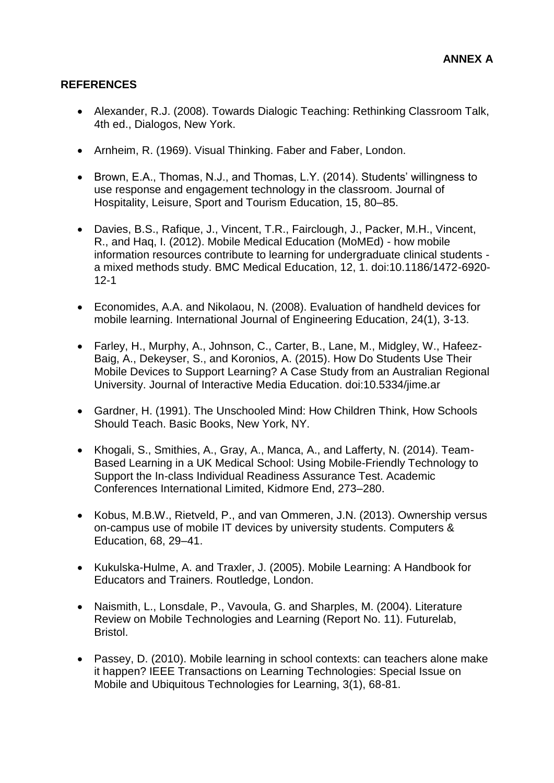## **REFERENCES**

- Alexander, R.J. (2008). Towards Dialogic Teaching: Rethinking Classroom Talk, 4th ed., Dialogos, New York.
- Arnheim, R. (1969). Visual Thinking. Faber and Faber, London.
- Brown, E.A., Thomas, N.J., and Thomas, L.Y. (2014). Students' willingness to use response and engagement technology in the classroom. Journal of Hospitality, Leisure, Sport and Tourism Education, 15, 80–85.
- Davies, B.S., Rafique, J., Vincent, T.R., Fairclough, J., Packer, M.H., Vincent, R., and Haq, I. (2012). Mobile Medical Education (MoMEd) - how mobile information resources contribute to learning for undergraduate clinical students a mixed methods study. BMC Medical Education, 12, 1. doi:10.1186/1472-6920- 12-1
- Economides, A.A. and Nikolaou, N. (2008). Evaluation of handheld devices for mobile learning. International Journal of Engineering Education, 24(1), 3-13.
- Farley, H., Murphy, A., Johnson, C., Carter, B., Lane, M., Midgley, W., Hafeez-Baig, A., Dekeyser, S., and Koronios, A. (2015). How Do Students Use Their Mobile Devices to Support Learning? A Case Study from an Australian Regional University. Journal of Interactive Media Education. doi:10.5334/jime.ar
- Gardner, H. (1991). The Unschooled Mind: How Children Think, How Schools Should Teach. Basic Books, New York, NY.
- Khogali, S., Smithies, A., Gray, A., Manca, A., and Lafferty, N. (2014). Team-Based Learning in a UK Medical School: Using Mobile-Friendly Technology to Support the In-class Individual Readiness Assurance Test. Academic Conferences International Limited, Kidmore End, 273–280.
- Kobus, M.B.W., Rietveld, P., and van Ommeren, J.N. (2013). Ownership versus on-campus use of mobile IT devices by university students. Computers & Education, 68, 29–41.
- Kukulska-Hulme, A. and Traxler, J. (2005). Mobile Learning: A Handbook for Educators and Trainers. Routledge, London.
- Naismith, L., Lonsdale, P., Vavoula, G. and Sharples, M. (2004). Literature Review on Mobile Technologies and Learning (Report No. 11). Futurelab, Bristol.
- Passey, D. (2010). Mobile learning in school contexts: can teachers alone make it happen? IEEE Transactions on Learning Technologies: Special Issue on Mobile and Ubiquitous Technologies for Learning, 3(1), 68-81.